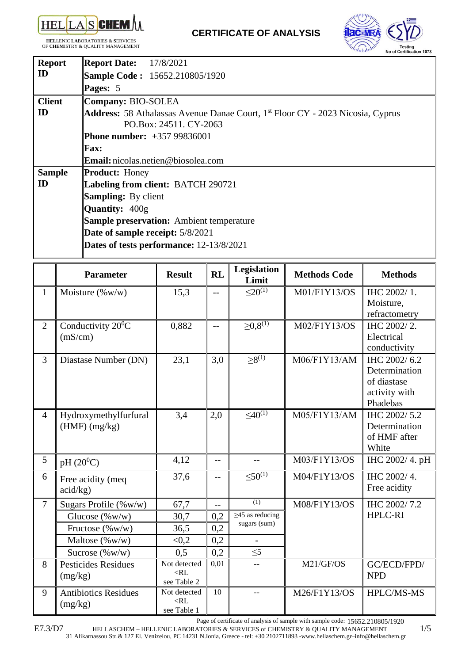

**HEL**LENIC **LA**BORATORIES & **S**ERVICES OF **CHEM**ISTRY & QUALITY MANAGEMENT



| <b>Report</b> | <b>Report Date:</b> 17/8/2021                                                              |  |  |  |  |  |  |  |  |
|---------------|--------------------------------------------------------------------------------------------|--|--|--|--|--|--|--|--|
| ID            | <b>Sample Code: 15652.210805/1920</b>                                                      |  |  |  |  |  |  |  |  |
|               | Pages: 5                                                                                   |  |  |  |  |  |  |  |  |
| <b>Client</b> | Company: BIO-SOLEA                                                                         |  |  |  |  |  |  |  |  |
| ID            | Address: 58 Athalassas Avenue Danae Court, 1 <sup>st</sup> Floor CY - 2023 Nicosia, Cyprus |  |  |  |  |  |  |  |  |
|               | PO.Box: 24511. CY-2063                                                                     |  |  |  |  |  |  |  |  |
|               | <b>Phone number:</b> $+35799836001$                                                        |  |  |  |  |  |  |  |  |
|               | <b>Fax:</b>                                                                                |  |  |  |  |  |  |  |  |
|               | <b>Email:</b> nicolas.netien@biosolea.com                                                  |  |  |  |  |  |  |  |  |
| <b>Sample</b> | <b>Product: Honey</b>                                                                      |  |  |  |  |  |  |  |  |
| ID            | Labeling from client: BATCH 290721                                                         |  |  |  |  |  |  |  |  |
|               | <b>Sampling:</b> By client                                                                 |  |  |  |  |  |  |  |  |
|               | <b>Quantity: 400g</b>                                                                      |  |  |  |  |  |  |  |  |
|               | <b>Sample preservation:</b> Ambient temperature                                            |  |  |  |  |  |  |  |  |
|               | Date of sample receipt: 5/8/2021                                                           |  |  |  |  |  |  |  |  |
|               | Dates of tests performance: 12-13/8/2021                                                   |  |  |  |  |  |  |  |  |
|               |                                                                                            |  |  |  |  |  |  |  |  |

|                | <b>Parameter</b>               | <b>Result</b>               | <b>RL</b> | Legislation<br>Limit  | <b>Methods Code</b> | <b>Methods</b>             |
|----------------|--------------------------------|-----------------------------|-----------|-----------------------|---------------------|----------------------------|
| $\mathbf{1}$   | Moisture $(\%w/w)$             | 15,3                        | $-$       | $<20^{(1)}$           | M01/F1Y13/OS        | IHC 2002/1.                |
|                |                                |                             |           |                       |                     | Moisture,                  |
|                |                                |                             |           |                       |                     | refractometry              |
| $\overline{2}$ | Conductivity 20 <sup>0</sup> C | 0,882                       |           | $\geq 0.8^{(1)}$      | M02/F1Y13/OS        | IHC 2002/2.                |
|                | (mS/cm)                        |                             |           |                       |                     | Electrical<br>conductivity |
| 3              | Diastase Number (DN)           | 23,1                        | 3,0       | $\geq 8^{(1)}$        | M06/F1Y13/AM        | IHC 2002/6.2               |
|                |                                |                             |           |                       |                     | Determination              |
|                |                                |                             |           |                       |                     | of diastase                |
|                |                                |                             |           |                       |                     | activity with              |
|                |                                |                             |           |                       |                     | Phadebas                   |
| $\overline{4}$ | Hydroxymethylfurfural          | 3,4                         | 2,0       | $\leq 40^{(1)}$       | M05/F1Y13/AM        | IHC 2002/5.2               |
|                | $(HMF)$ (mg/kg)                |                             |           |                       |                     | Determination              |
|                |                                |                             |           |                       |                     | of HMF after<br>White      |
|                |                                |                             |           |                       |                     |                            |
| 5              | $pH(20^0C)$                    | 4,12                        | $-$       | $-$                   | M03/F1Y13/OS        | IHC 2002/ 4. pH            |
| 6              | Free acidity (meq              | 37,6                        | $-$       | $< 50^{(1)}$          | M04/F1Y13/OS        | IHC 2002/4.                |
|                | acid/kg)                       |                             |           |                       |                     | Free acidity               |
| $\overline{7}$ | Sugars Profile $(\%w/w)$       | 67,7                        | $-$       | (1)                   | M08/F1Y13/OS        | IHC 2002/7.2               |
|                | Glucose (%w/w)                 | 30,7                        | 0,2       | $\geq$ 45 as reducing |                     | <b>HPLC-RI</b>             |
|                | Fructose (%w/w)                | 36,5                        | 0,2       | sugars (sum)          |                     |                            |
|                | Maltose (%w/w)                 | < 0.2                       | 0,2       |                       |                     |                            |
|                | Sucrose (%w/w)                 | 0,5                         | 0,2       | $\leq 5$              |                     |                            |
| 8              | <b>Pesticides Residues</b>     | Not detected                | 0,01      | $-$                   | M21/GF/OS           | GC/ECD/FPD/                |
|                | (mg/kg)                        | $\langle$ RL<br>see Table 2 |           |                       |                     | <b>NPD</b>                 |
| 9              | <b>Antibiotics Residues</b>    | Not detected                | 10        | $-$                   | M26/F1Y13/OS        | HPLC/MS-MS                 |
|                | (mg/kg)                        | $<$ RL                      |           |                       |                     |                            |
|                |                                | see Table 1                 |           |                       |                     |                            |

Page of certificate of analysis of sample with sample code: 15652.210805/1920

HELLASCHEM – HELLENIC LABORATORIES & SERVICES of CHEMISTRY & QUALITY MANAGEMENT 1/5 31 Alikarnassou Str.& 127 El. Venizelou, PC 14231 N.Ionia, Greece - tel: +30 2102711893 -www.hellaschem.gr–info@hellaschem.gr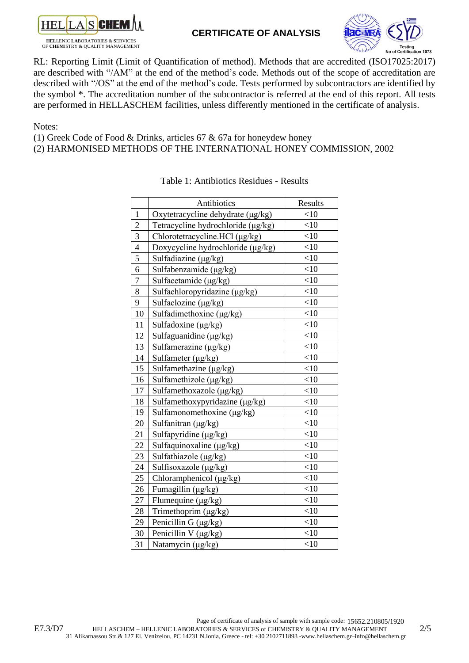

OF **CHEM**ISTRY & QUALITY MANAGEMENT

### **CERTIFICATE OF ANALYSIS**



RL: Reporting Limit (Limit of Quantification of method). Methods that are accredited (ISO17025:2017) are described with "/AM" at the end of the method's code. Methods out of the scope of accreditation are described with "/OS" at the end of the method's code. Tests performed by subcontractors are identified by the symbol \*. The accreditation number of the subcontractor is referred at the end of this report. All tests are performed in HELLASCHEM facilities, unless differently mentioned in the certificate of analysis.

Notes:

- (1) Greek Code of Food & Drinks, articles 67 & 67a for honeydew honey
- (2) HARMONISED METHODS OF THE INTERNATIONAL HONEY COMMISSION, 2002

|                | Antibiotics                        | Results |
|----------------|------------------------------------|---------|
| $\mathbf{1}$   | Oxytetracycline dehydrate (µg/kg)  | <10     |
| $\overline{2}$ | Tetracycline hydrochloride (μg/kg) | $<$ 10  |
| 3              | Chlorotetracycline.HCl (µg/kg)     | $<$ 10  |
| $\overline{4}$ | Doxycycline hydrochloride (µg/kg)  | $<$ 10  |
| 5              | Sulfadiazine (µg/kg)               | $<$ 10  |
| 6              | Sulfabenzamide (μg/kg)             | $<$ 10  |
| $\overline{7}$ | Sulfacetamide (μg/kg)              | $<$ 10  |
| 8              | Sulfachloropyridazine (μg/kg)      | $<$ 10  |
| 9              | Sulfaclozine (μg/kg)               | $<$ 10  |
| 10             | Sulfadimethoxine $(\mu g/kg)$      | $<$ 10  |
| 11             | Sulfadoxine $(\mu g/kg)$           | $<$ 10  |
| 12             | Sulfaguanidine (μg/kg)             | $<$ 10  |
| 13             | Sulfamerazine $(\mu g/kg)$         | $<$ 10  |
| 14             | Sulfameter $(\mu g/kg)$            | $<$ 10  |
| 15             | Sulfamethazine (µg/kg)             | $<$ 10  |
| 16             | Sulfamethizole (μg/kg)             | $<$ 10  |
| 17             | Sulfamethoxazole (μg/kg)           | $<$ 10  |
| 18             | Sulfamethoxypyridazine (μg/kg)     | $<$ 10  |
| 19             | Sulfamonomethoxine (μg/kg)         | $<$ 10  |
| 20             | Sulfanitran (µg/kg)                | $<$ 10  |
| 21             | Sulfapyridine (µg/kg)              | $<$ 10  |
| 22             | Sulfaquinoxaline (μg/kg)           | $<$ 10  |
| 23             | Sulfathiazole $(\mu g/kg)$         | $<$ 10  |
| 24             | Sulfisoxazole $(\mu g/kg)$         | $<$ 10  |
| 25             | Chloramphenicol $(\mu g/kg)$       | $<$ 10  |
| 26             | Fumagillin $(\mu g/kg)$            | $<$ 10  |
| 27             | Flumequine $(\mu g/kg)$            | <10     |
| 28             | Trimethoprim (μg/kg)               | $<$ 10  |
| 29             | Penicillin G (µg/kg)               | $<$ 10  |
| 30             | Penicillin V (µg/kg)               | <10     |
| 31             | Natamycin (µg/kg)                  | $<$ 10  |

Table 1: Antibiotics Residues - Results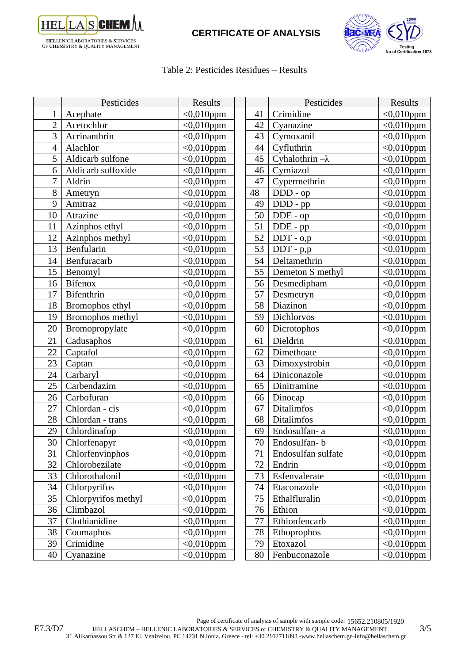

# **CERTIFICATE OF ANALYSIS**



#### Table 2: Pesticides Residues – Results

|                | Pesticides          | Results      |    | Pesticides             | Results      |
|----------------|---------------------|--------------|----|------------------------|--------------|
| $\mathbf 1$    | Acephate            | $<0,010$ ppm | 41 | Crimidine              | $<0,010$ ppm |
| $\overline{2}$ | Acetochlor          | $<0,010$ ppm | 42 | Cyanazine              | $<0.010$ ppm |
| $\overline{3}$ | Acrinanthrin        | $<0,010$ ppm | 43 | Cymoxanil              | $<0,010$ ppm |
| $\overline{4}$ | Alachlor            | $<0,010$ ppm | 44 | Cyfluthrin             | $<0,010$ ppm |
| 5              | Aldicarb sulfone    | $<0,010$ ppm | 45 | Cyhalothrin $-\lambda$ | $<0,010$ ppm |
| 6              | Aldicarb sulfoxide  | $<0,010$ ppm | 46 | Cymiazol               | $<0,010$ ppm |
| 7              | Aldrin              | $<0,010$ ppm | 47 | Cypermethrin           | $<0,010$ ppm |
| 8              | Ametryn             | $<0,010$ ppm | 48 | DDD - op               | $<$ 0,010ppm |
| 9              | Amitraz             | $<0,010$ ppm | 49 | DDD - pp               | $<0,010$ ppm |
| 10             | Atrazine            | $<0,010$ ppm | 50 | $DDE$ - $op$           | $<0,010$ ppm |
| 11             | Azinphos ethyl      | $<0,010$ ppm | 51 | DDE - pp               | $<$ 0,010ppm |
| 12             | Azinphos methyl     | $<0.010$ ppm | 52 | $DDT - o,p$            | $<0,010$ ppm |
| 13             | Benfularin          | $<0,010$ ppm | 53 | $DDT - p,p$            | $<0,010$ ppm |
| 14             | Benfuracarb         | $<0,010$ ppm | 54 | Deltamethrin           | $<0,010$ ppm |
| 15             | Benomyl             | $<0,010$ ppm | 55 | Demeton S methyl       | $<0,010$ ppm |
| 16             | <b>Bifenox</b>      | $<0,010$ ppm | 56 | Desmedipham            | $<$ 0,010ppm |
| 17             | Bifenthrin          | $<0,010$ ppm | 57 | Desmetryn              | $<0,010$ ppm |
| 18             | Bromophos ethyl     | $<0,010$ ppm | 58 | Diazinon               | $<0,010$ ppm |
| 19             | Bromophos methyl    | $<0,010$ ppm | 59 | Dichlorvos             | $<0,010$ ppm |
| 20             | Bromopropylate      | $<0,010$ ppm | 60 | Dicrotophos            | $<0,010$ ppm |
| 21             | Cadusaphos          | $<0,010$ ppm | 61 | Dieldrin               | $<0,010$ ppm |
| 22             | Captafol            | $<0,010$ ppm | 62 | Dimethoate             | $<$ 0,010ppm |
| 23             | Captan              | $<0,010$ ppm | 63 | Dimoxystrobin          | $<0,010$ ppm |
| 24             | Carbaryl            | $<0,010$ ppm | 64 | Diniconazole           | $<0,010$ ppm |
| 25             | Carbendazim         | $<0,010$ ppm | 65 | Dinitramine            | $<$ 0,010ppm |
| 26             | Carbofuran          | $<0,010$ ppm | 66 | Dinocap                | $<0,010$ ppm |
| 27             | Chlordan - cis      | $<0,010$ ppm | 67 | Ditalimfos             | $<0,010$ ppm |
| 28             | Chlordan - trans    | $<0,010$ ppm | 68 | Ditalimfos             | $<$ 0,010ppm |
| 29             | Chlordinafop        | $<0,010$ ppm | 69 | Endosulfan-a           | $<0,010$ ppm |
| 30             | Chlorfenapyr        | $<0,010$ ppm | 70 | Endosulfan-b           | $<0,010$ ppm |
| 31             | Chlorfenvinphos     | $<0,010$ ppm | 71 | Endosulfan sulfate     | $<0,010$ ppm |
| 32             | Chlorobezilate      | $<0,010$ ppm | 72 | Endrin                 | $<0,010$ ppm |
| 33             | Chlorothalonil      | $<0,010$ ppm | 73 | Esfenvalerate          | $<0,010$ ppm |
| 34             | Chlorpyrifos        | $<0,010$ ppm | 74 | Etaconazole            | $<0,010$ ppm |
| 35             | Chlorpyrifos methyl | $<0,010$ ppm | 75 | Ethalfluralin          | $<0,010$ ppm |
| 36             | Climbazol           | $<0,010$ ppm | 76 | Ethion                 | $<0,010$ ppm |
| 37             | Clothianidine       | $<0,010$ ppm | 77 | Ethionfencarb          | $<0,010$ ppm |
| 38             | Coumaphos           | $<0,010$ ppm | 78 | Ethoprophos            | $<0,010$ ppm |
| 39             | Crimidine           | $<0,010$ ppm | 79 | Etoxazol               | $<0,010$ ppm |
| 40             | Cyanazine           | $<0,010$ ppm | 80 | Fenbuconazole          | $<0,010$ ppm |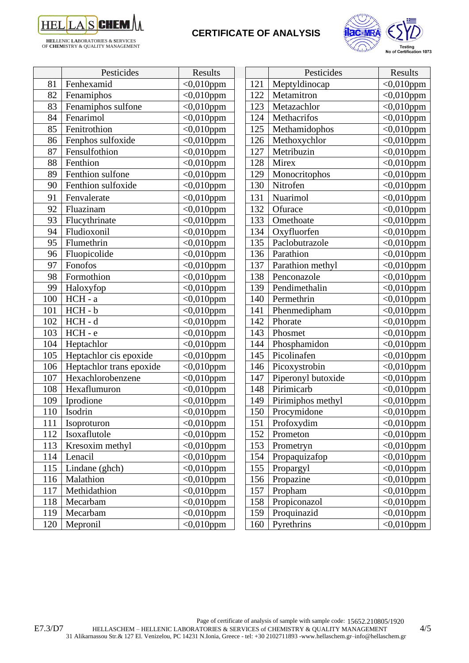

**HEL**LENIC **LA**BORATORIES & **S**ERVICES OF **CHEM**ISTRY & QUALITY MANAGEMENT

# **CERTIFICATE OF ANALYSIS**



|     | Pesticides               | Results                 |     | Pesticides         | Results                 |
|-----|--------------------------|-------------------------|-----|--------------------|-------------------------|
| 81  | Fenhexamid               | $<0,010$ ppm            | 121 | Meptyldinocap      | $<0,010$ ppm            |
| 82  | Fenamiphos               | $<0,010$ ppm            | 122 | Metamitron         | $<0,010$ ppm            |
| 83  | Fenamiphos sulfone       | $<0,010$ ppm            | 123 | Metazachlor        | $<0,010$ ppm            |
| 84  | Fenarimol                | $<0,010$ ppm            | 124 | Methacrifos        | $<0,010$ ppm            |
| 85  | Fenitrothion             | $<0,010$ ppm            | 125 | Methamidophos      | $\overline{<}0,010$ ppm |
| 86  | Fenphos sulfoxide        | $<0,010$ ppm            | 126 | Methoxychlor       | $<$ 0,010ppm            |
| 87  | Fensulfothion            | $<0,010$ ppm            | 127 | Metribuzin         | $<0,010$ ppm            |
| 88  | Fenthion                 | $<0,010$ ppm            | 128 | Mirex              | $<$ 0,010ppm            |
| 89  | Fenthion sulfone         | $<0,010$ ppm            | 129 | Monocritophos      | $<$ 0,010ppm            |
| 90  | Fenthion sulfoxide       | $<0,010$ ppm            | 130 | Nitrofen           | $<0,010$ ppm            |
| 91  | Fenvalerate              | $<$ 0,010ppm            | 131 | Nuarimol           | $<$ 0,010ppm            |
| 92  | Fluazinam                | $<$ 0,010ppm            | 132 | Ofurace            | $\sqrt{0.010}$ ppm      |
| 93  | Flucythrinate            | $<0,010$ ppm            | 133 | Omethoate          | $<0,010$ ppm            |
| 94  | Fludioxonil              | $<0,010$ ppm            | 134 | Oxyfluorfen        | $<0,010$ ppm            |
| 95  | Flumethrin               | $<0,010$ ppm            | 135 | Paclobutrazole     | $<$ 0,010ppm            |
| 96  | Fluopicolide             | $\overline{<}0,010$ ppm | 136 | Parathion          | $<$ 0,010ppm            |
| 97  | Fonofos                  | $<0,010$ ppm            | 137 | Parathion methyl   | $<0,010$ ppm            |
| 98  | Formothion               | $<0,010$ ppm            | 138 | Penconazole        | $<$ 0,010ppm            |
| 99  | Haloxyfop                | $<0,010$ ppm            | 139 | Pendimethalin      | $<0,010$ ppm            |
| 100 | HCH - a                  | $<$ 0,010ppm            | 140 | Permethrin         | $<$ 0,010ppm            |
| 101 | HCH-b                    | $<$ 0,010ppm            | 141 | Phenmedipham       | $<$ 0,010ppm            |
| 102 | $HCH - d$                | $<0,010$ ppm            | 142 | Phorate            | $<$ 0,010ppm            |
| 103 | HCH-e                    | $<$ 0,010ppm            | 143 | Phosmet            | $<$ 0,010ppm            |
| 104 | Heptachlor               | $<$ 0,010ppm            | 144 | Phosphamidon       | $<0,010$ ppm            |
| 105 | Heptachlor cis epoxide   | $<0,010$ ppm            | 145 | Picolinafen        | $<0,010$ ppm            |
| 106 | Heptachlor trans epoxide | $<0,010$ ppm            | 146 | Picoxystrobin      | $<$ 0,010ppm            |
| 107 | Hexachlorobenzene        | $<0,010$ ppm            | 147 | Piperonyl butoxide | $<0,010$ ppm            |
| 108 | Hexaflumuron             | $<0,010$ ppm            | 148 | Pirimicarb         | $<$ 0,010ppm            |
| 109 | Iprodione                | $<$ 0,010ppm            | 149 | Pirimiphos methyl  | $<$ 0,010ppm            |
| 110 | Isodrin                  | $<0,010$ ppm            | 150 | Procymidone        | $<0,010$ ppm            |
| 111 | Isoproturon              | $<0,010$ ppm            | 151 | Profoxydim         | $<0,010$ ppm            |
| 112 | Isoxaflutole             | $<0,010$ ppm            | 152 | Prometon           | $<0,010$ ppm            |
| 113 | Kresoxim methyl          | $<0,010$ ppm            | 153 | Prometryn          | $<0,010$ ppm            |
| 114 | Lenacil                  | $<0,010$ ppm            | 154 | Propaquizafop      | $<0,010$ ppm            |
| 115 | Lindane (ghch)           | $<0,010$ ppm            | 155 | Propargyl          | $<0,010$ ppm            |
| 116 | Malathion                | $<0,010$ ppm            | 156 | Propazine          | $<0,010$ ppm            |
| 117 | Methidathion             | $<0,010$ ppm            | 157 | Propham            | $<0,010$ ppm            |
| 118 | Mecarbam                 | $<0,010$ ppm            | 158 | Propiconazol       | $<0,010$ ppm            |
| 119 | Mecarbam                 | $<0,010$ ppm            | 159 | Proquinazid        | $<0,010$ ppm            |
| 120 | Mepronil                 | $<0,010$ ppm            | 160 | Pyrethrins         | $<0,010$ ppm            |